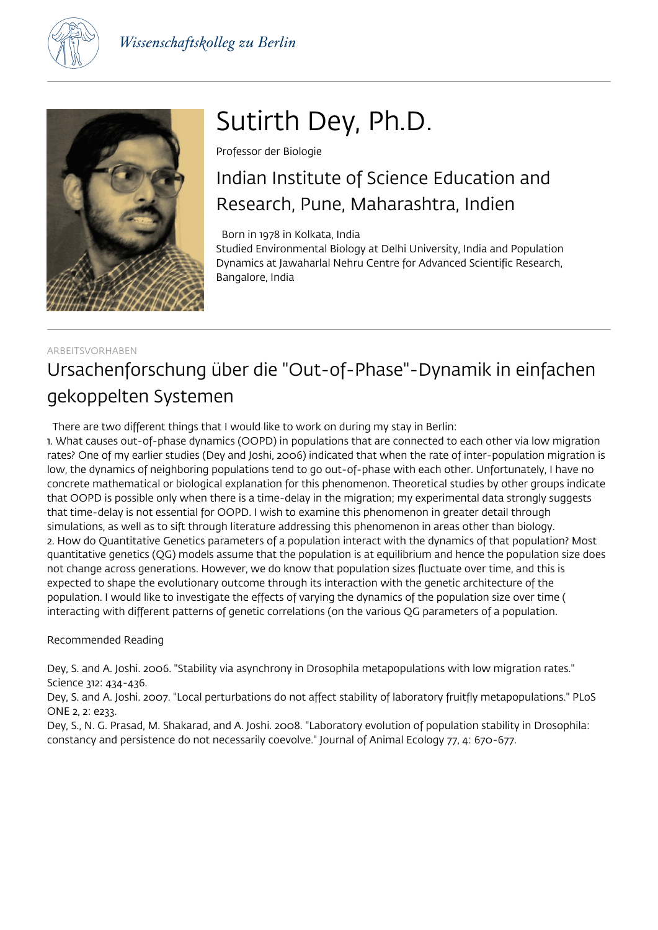



# Sutirth Dey, Ph.D.

Professor der Biologie

## Indian Institute of Science Education and Research, Pune, Maharashtra, Indien

Born in 1978 in Kolkata, India

Studied Environmental Biology at Delhi University, India and Population Dynamics at Jawaharlal Nehru Centre for Advanced Scientific Research, Bangalore, India

### ARBEITSVORHABEN Ursachenforschung über die "Out-of-Phase"-Dynamik in einfachen gekoppelten Systemen

There are two different things that I would like to work on during my stay in Berlin:

1. What causes out-of-phase dynamics (OOPD) in populations that are connected to each other via low migration rates? One of my earlier studies (Dey and Joshi, 2006) indicated that when the rate of inter-population migration is low, the dynamics of neighboring populations tend to go out-of-phase with each other. Unfortunately, I have no concrete mathematical or biological explanation for this phenomenon. Theoretical studies by other groups indicate that OOPD is possible only when there is a time-delay in the migration; my experimental data strongly suggests that time-delay is not essential for OOPD. I wish to examine this phenomenon in greater detail through simulations, as well as to sift through literature addressing this phenomenon in areas other than biology. 2. How do Quantitative Genetics parameters of a population interact with the dynamics of that population? Most quantitative genetics (QG) models assume that the population is at equilibrium and hence the population size does not change across generations. However, we do know that population sizes fluctuate over time, and this is expected to shape the evolutionary outcome through its interaction with the genetic architecture of the population. I would like to investigate the effects of varying the dynamics of the population size over time ( interacting with different patterns of genetic correlations (on the various QG parameters of a population.

#### Recommended Reading

Dey, S. and A. Joshi. 2006. "Stability via asynchrony in Drosophila metapopulations with low migration rates." Science 312: 434-436.

Dey, S. and A. Joshi. 2007. "Local perturbations do not affect stability of laboratory fruitfly metapopulations." PLoS ONE 2, 2: e233.

Dey, S., N. G. Prasad, M. Shakarad, and A. Joshi. 2008. "Laboratory evolution of population stability in Drosophila: constancy and persistence do not necessarily coevolve." Journal of Animal Ecology 77, 4: 670-677.